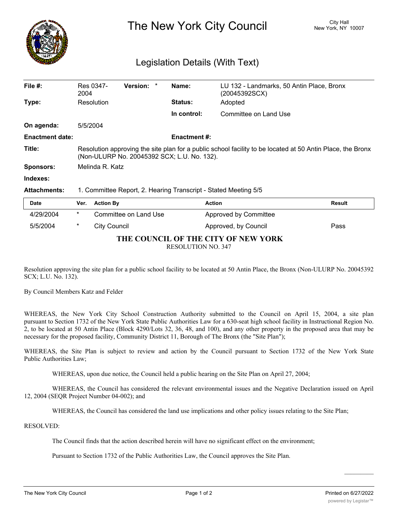

The New York City Council New York, NY 10007

## Legislation Details (With Text)

| File $#$ :             | Res 0347-<br>2004                                                                                                                                         |                       | <b>Version:</b> | * | Name:               | LU 132 - Landmarks, 50 Antin Place, Bronx<br>(20045392SCX) |               |
|------------------------|-----------------------------------------------------------------------------------------------------------------------------------------------------------|-----------------------|-----------------|---|---------------------|------------------------------------------------------------|---------------|
| Type:                  | Resolution                                                                                                                                                |                       |                 |   | <b>Status:</b>      | Adopted                                                    |               |
|                        |                                                                                                                                                           |                       |                 |   | In control:         | Committee on Land Use                                      |               |
| On agenda:             | 5/5/2004                                                                                                                                                  |                       |                 |   |                     |                                                            |               |
| <b>Enactment date:</b> |                                                                                                                                                           |                       |                 |   | <b>Enactment #:</b> |                                                            |               |
| Title:                 | Resolution approving the site plan for a public school facility to be located at 50 Antin Place, the Bronx<br>(Non-ULURP No. 20045392 SCX; L.U. No. 132). |                       |                 |   |                     |                                                            |               |
| Sponsors:              | Melinda R. Katz                                                                                                                                           |                       |                 |   |                     |                                                            |               |
| Indexes:               |                                                                                                                                                           |                       |                 |   |                     |                                                            |               |
| <b>Attachments:</b>    | 1. Committee Report, 2. Hearing Transcript - Stated Meeting 5/5                                                                                           |                       |                 |   |                     |                                                            |               |
| <b>Date</b>            | Ver.                                                                                                                                                      | <b>Action By</b>      |                 |   |                     | <b>Action</b>                                              | <b>Result</b> |
| 4/29/2004              | $^\star$                                                                                                                                                  | Committee on Land Use |                 |   |                     | Approved by Committee                                      |               |
| 5/5/2004               | $^\star$                                                                                                                                                  | City Council          |                 |   |                     | Approved, by Council                                       | Pass          |

## **THE COUNCIL OF THE CITY OF NEW YORK**

RESOLUTION NO. 347

Resolution approving the site plan for a public school facility to be located at 50 Antin Place, the Bronx (Non-ULURP No. 20045392 SCX; L.U. No. 132).

By Council Members Katz and Felder

WHEREAS, the New York City School Construction Authority submitted to the Council on April 15, 2004, a site plan pursuant to Section 1732 of the New York State Public Authorities Law for a 630-seat high school facility in Instructional Region No. 2, to be located at 50 Antin Place (Block 4290/Lots 32, 36, 48, and 100), and any other property in the proposed area that may be necessary for the proposed facility, Community District 11, Borough of The Bronx (the "Site Plan");

WHEREAS, the Site Plan is subject to review and action by the Council pursuant to Section 1732 of the New York State Public Authorities Law;

WHEREAS, upon due notice, the Council held a public hearing on the Site Plan on April 27, 2004;

WHEREAS, the Council has considered the relevant environmental issues and the Negative Declaration issued on April 12, 2004 (SEQR Project Number 04-002); and

WHEREAS, the Council has considered the land use implications and other policy issues relating to the Site Plan;

RESOLVED:

The Council finds that the action described herein will have no significant effect on the environment;

Pursuant to Section 1732 of the Public Authorities Law, the Council approves the Site Plan.